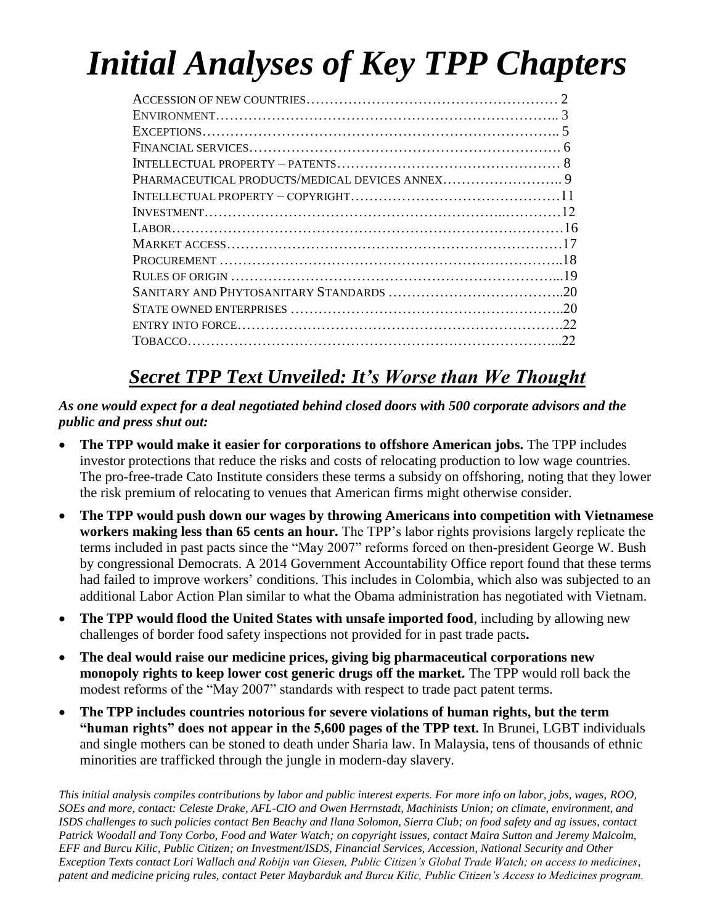# *Initial Analyses of Key TPP Chapters*

| $\overline{20}$ |
|-----------------|
|                 |
| 22              |
|                 |

# *Secret TPP Text Unveiled: It's Worse than We Thought*

#### *As one would expect for a deal negotiated behind closed doors with 500 corporate advisors and the public and press shut out:*

- **The TPP would make it easier for corporations to offshore American jobs.** The TPP includes investor protections that reduce the risks and costs of relocating production to low wage countries. The pro-free-trade Cato Institute considers these terms a subsidy on offshoring, noting that they lower the risk premium of relocating to venues that American firms might otherwise consider.
- **The TPP would push down our wages by throwing Americans into competition with Vietnamese workers making less than 65 cents an hour.** The TPP's labor rights provisions largely replicate the terms included in past pacts since the "May 2007" reforms forced on then-president George W. Bush by congressional Democrats. A 2014 Government Accountability Office report found that these terms had failed to improve workers' conditions. This includes in Colombia, which also was subjected to an additional Labor Action Plan similar to what the Obama administration has negotiated with Vietnam.
- **The TPP would flood the United States with unsafe imported food**, including by allowing new challenges of border food safety inspections not provided for in past trade pacts**.**
- **The deal would raise our medicine prices, giving big pharmaceutical corporations new monopoly rights to keep lower cost generic drugs off the market.** The TPP would roll back the modest reforms of the "May 2007" standards with respect to trade pact patent terms.
- **The TPP includes countries notorious for severe violations of human rights, but the term "human rights" does not appear in the 5,600 pages of the TPP text.** In Brunei, LGBT individuals and single mothers can be stoned to death under Sharia law. In Malaysia, tens of thousands of ethnic minorities are trafficked through the jungle in modern-day slavery.

*This initial analysis compiles contributions by labor and public interest experts. For more info on labor, jobs, wages, ROO, SOEs and more, contact: Celeste Drake, AFL-CIO and Owen Herrnstadt, Machinists Union; on climate, environment, and ISDS challenges to such policies contact Ben Beachy and Ilana Solomon, Sierra Club; on food safety and ag issues, contact Patrick Woodall and Tony Corbo, Food and Water Watch; on copyright issues, contact Maira Sutton and Jeremy Malcolm, EFF and Burcu Kilic, Public Citizen; on Investment/ISDS, Financial Services, Accession, National Security and Other Exception Texts contact Lori Wallach and Robijn van Giesen, Public Citizen's Global Trade Watch; on access to medicines, patent and medicine pricing rules, contact Peter Maybarduk and Burcu Kilic, Public Citizen's Access to Medicines program.*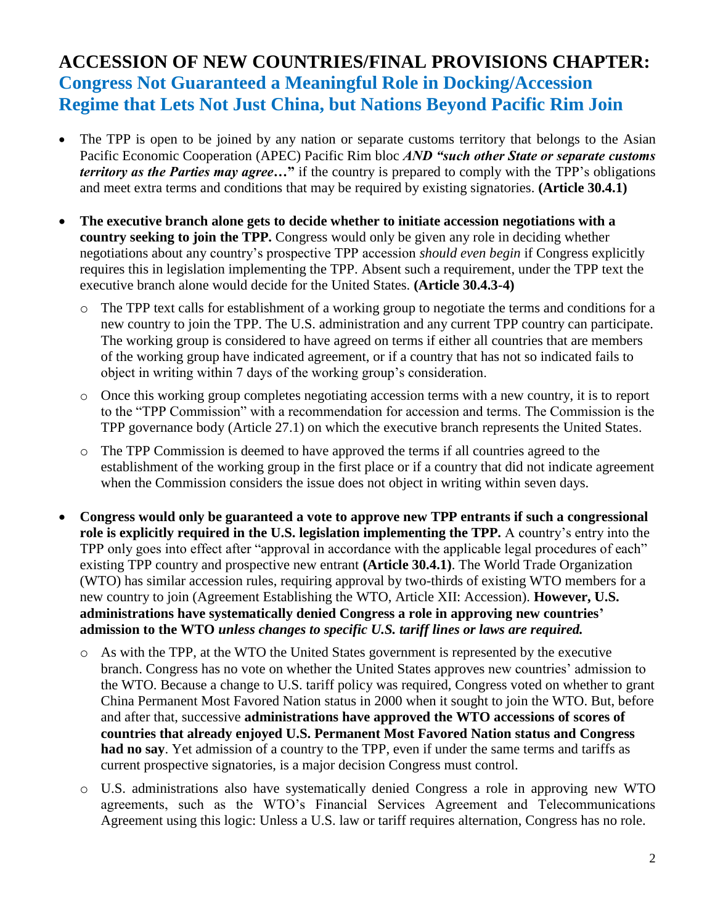#### **ACCESSION OF NEW COUNTRIES/FINAL PROVISIONS CHAPTER: Congress Not Guaranteed a Meaningful Role in Docking/Accession Regime that Lets Not Just China, but Nations Beyond Pacific Rim Join**

- The TPP is open to be joined by any nation or separate customs territory that belongs to the Asian Pacific Economic Cooperation (APEC) Pacific Rim bloc *AND "such other State or separate customs territory as the Parties may agree…***"** if the country is prepared to comply with the TPP's obligations and meet extra terms and conditions that may be required by existing signatories. **(Article 30.4.1)**
- **The executive branch alone gets to decide whether to initiate accession negotiations with a country seeking to join the TPP.** Congress would only be given any role in deciding whether negotiations about any country's prospective TPP accession *should even begin* if Congress explicitly requires this in legislation implementing the TPP. Absent such a requirement, under the TPP text the executive branch alone would decide for the United States. **(Article 30.4.3-4)** 
	- o The TPP text calls for establishment of a working group to negotiate the terms and conditions for a new country to join the TPP. The U.S. administration and any current TPP country can participate. The working group is considered to have agreed on terms if either all countries that are members of the working group have indicated agreement, or if a country that has not so indicated fails to object in writing within 7 days of the working group's consideration.
	- o Once this working group completes negotiating accession terms with a new country, it is to report to the "TPP Commission" with a recommendation for accession and terms. The Commission is the TPP governance body (Article 27.1) on which the executive branch represents the United States.
	- o The TPP Commission is deemed to have approved the terms if all countries agreed to the establishment of the working group in the first place or if a country that did not indicate agreement when the Commission considers the issue does not object in writing within seven days.
- **Congress would only be guaranteed a vote to approve new TPP entrants if such a congressional role is explicitly required in the U.S. legislation implementing the TPP.** A country's entry into the TPP only goes into effect after "approval in accordance with the applicable legal procedures of each" existing TPP country and prospective new entrant **(Article 30.4.1)**. The World Trade Organization (WTO) has similar accession rules, requiring approval by two-thirds of existing WTO members for a new country to join (Agreement Establishing the WTO, Article XII: Accession). **However, U.S. administrations have systematically denied Congress a role in approving new countries' admission to the WTO** *unless changes to specific U.S. tariff lines or laws are required.*
	- o As with the TPP, at the WTO the United States government is represented by the executive branch. Congress has no vote on whether the United States approves new countries' admission to the WTO. Because a change to U.S. tariff policy was required, Congress voted on whether to grant China Permanent Most Favored Nation status in 2000 when it sought to join the WTO. But, before and after that, successive **administrations have approved the WTO accessions of scores of countries that already enjoyed U.S. Permanent Most Favored Nation status and Congress had no say**. Yet admission of a country to the TPP, even if under the same terms and tariffs as current prospective signatories, is a major decision Congress must control.
	- o U.S. administrations also have systematically denied Congress a role in approving new WTO agreements, such as the WTO's Financial Services Agreement and Telecommunications Agreement using this logic: Unless a U.S. law or tariff requires alternation, Congress has no role.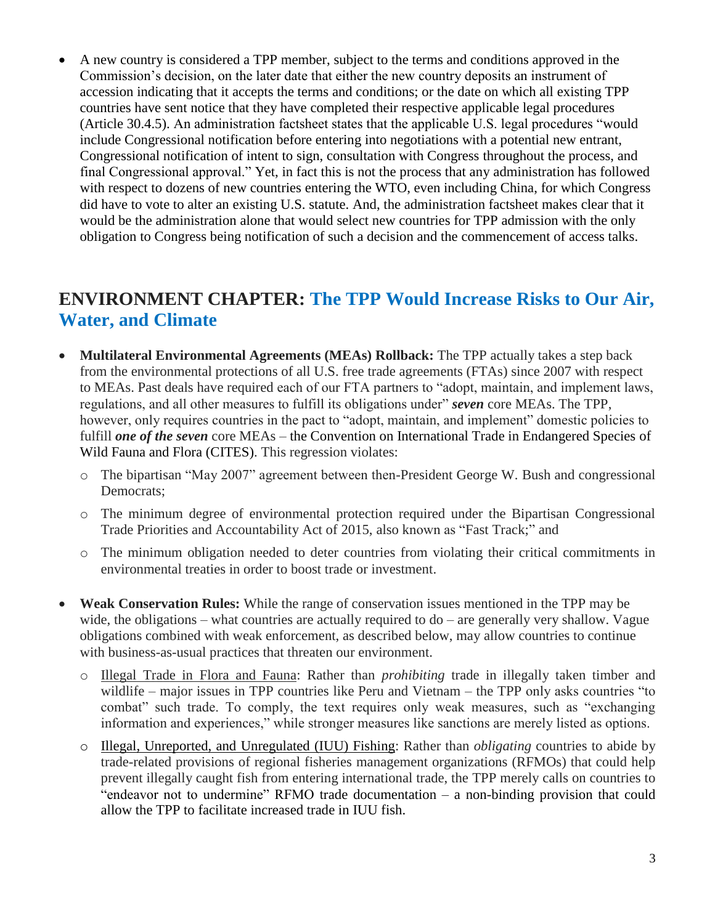A new country is considered a TPP member, subject to the terms and conditions approved in the Commission's decision, on the later date that either the new country deposits an instrument of accession indicating that it accepts the terms and conditions; or the date on which all existing TPP countries have sent notice that they have completed their respective applicable legal procedures (Article 30.4.5). An administration factsheet states that the applicable U.S. legal procedures "would include Congressional notification before entering into negotiations with a potential new entrant, Congressional notification of intent to sign, consultation with Congress throughout the process, and final Congressional approval." Yet, in fact this is not the process that any administration has followed with respect to dozens of new countries entering the WTO, even including China, for which Congress did have to vote to alter an existing U.S. statute. And, the administration factsheet makes clear that it would be the administration alone that would select new countries for TPP admission with the only obligation to Congress being notification of such a decision and the commencement of access talks.

#### **ENVIRONMENT CHAPTER: The TPP Would Increase Risks to Our Air, Water, and Climate**

- **Multilateral Environmental Agreements (MEAs) Rollback:** The TPP actually takes a step back from the environmental protections of all U.S. free trade agreements (FTAs) since 2007 with respect to MEAs. Past deals have required each of our FTA partners to "adopt, maintain, and implement laws, regulations, and all other measures to fulfill its obligations under" *seven* core MEAs. The TPP, however, only requires countries in the pact to "adopt, maintain, and implement" domestic policies to fulfill *one of the seven* core MEAs – the Convention on International Trade in Endangered Species of Wild Fauna and Flora (CITES). This regression violates:
	- o The bipartisan "May 2007" agreement between then-President George W. Bush and congressional Democrats;
	- o The minimum degree of environmental protection required under the Bipartisan Congressional Trade Priorities and Accountability Act of 2015, also known as "Fast Track;" and
	- o The minimum obligation needed to deter countries from violating their critical commitments in environmental treaties in order to boost trade or investment.
- **Weak Conservation Rules:** While the range of conservation issues mentioned in the TPP may be wide, the obligations – what countries are actually required to do – are generally very shallow. Vague obligations combined with weak enforcement, as described below, may allow countries to continue with business-as-usual practices that threaten our environment.
	- o Illegal Trade in Flora and Fauna: Rather than *prohibiting* trade in illegally taken timber and wildlife – major issues in TPP countries like Peru and Vietnam – the TPP only asks countries "to combat" such trade. To comply, the text requires only weak measures, such as "exchanging information and experiences," while stronger measures like sanctions are merely listed as options.
	- o Illegal, Unreported, and Unregulated (IUU) Fishing: Rather than *obligating* countries to abide by trade-related provisions of regional fisheries management organizations (RFMOs) that could help prevent illegally caught fish from entering international trade, the TPP merely calls on countries to "endeavor not to undermine" RFMO trade documentation – a non-binding provision that could allow the TPP to facilitate increased trade in IUU fish.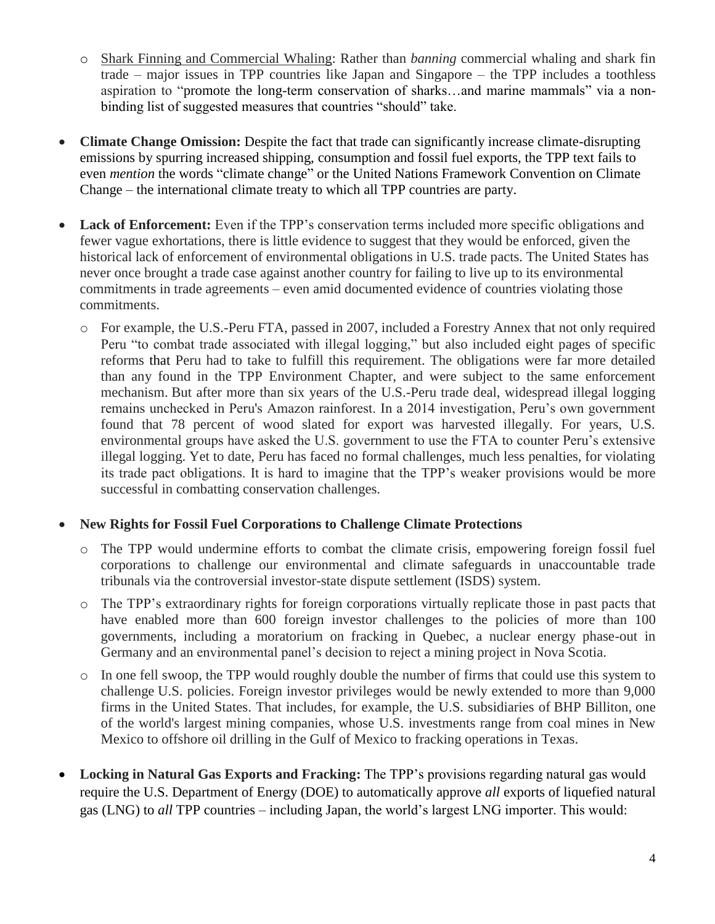- o Shark Finning and Commercial Whaling: Rather than *banning* commercial whaling and shark fin trade – major issues in TPP countries like Japan and Singapore – the TPP includes a toothless aspiration to "promote the long-term conservation of sharks…and marine mammals" via a nonbinding list of suggested measures that countries "should" take.
- **Climate Change Omission:** Despite the fact that trade can significantly increase climate-disrupting emissions by spurring increased shipping, consumption and fossil fuel exports, the TPP text fails to even *mention* the words "climate change" or the United Nations Framework Convention on Climate Change – the international climate treaty to which all TPP countries are party.
- Lack of Enforcement: Even if the TPP's conservation terms included more specific obligations and fewer vague exhortations, there is little evidence to suggest that they would be enforced, given the historical lack of enforcement of environmental obligations in U.S. trade pacts. The United States has never once brought a trade case against another country for failing to live up to its environmental commitments in trade agreements – even amid documented evidence of countries violating those commitments.
	- o For example, the U.S.-Peru FTA, passed in 2007, included a Forestry Annex that not only required Peru "to combat trade associated with illegal logging," but also included eight pages of specific reforms that Peru had to take to fulfill this requirement. The obligations were far more detailed than any found in the TPP Environment Chapter, and were subject to the same enforcement mechanism. But after more than six years of the U.S.-Peru trade deal, widespread illegal logging remains unchecked in Peru's Amazon rainforest. In a 2014 investigation, Peru's own government found that 78 percent of wood slated for export was harvested illegally. For years, U.S. environmental groups have asked the U.S. government to use the FTA to counter Peru's extensive illegal logging. Yet to date, Peru has faced no formal challenges, much less penalties, for violating its trade pact obligations. It is hard to imagine that the TPP's weaker provisions would be more successful in combatting conservation challenges.

#### **New Rights for Fossil Fuel Corporations to Challenge Climate Protections**

- o The TPP would undermine efforts to combat the climate crisis, empowering foreign fossil fuel corporations to challenge our environmental and climate safeguards in unaccountable trade tribunals via the controversial investor-state dispute settlement (ISDS) system.
- o The TPP's extraordinary rights for foreign corporations virtually replicate those in past pacts that have enabled more than 600 foreign investor challenges to the policies of more than 100 governments, including a moratorium on fracking in Quebec, a nuclear energy phase-out in Germany and an environmental panel's decision to reject a mining project in Nova Scotia.
- o In one fell swoop, the TPP would roughly double the number of firms that could use this system to challenge U.S. policies. Foreign investor privileges would be newly extended to more than 9,000 firms in the United States. That includes, for example, the U.S. subsidiaries of BHP Billiton, one of the world's largest mining companies, whose U.S. investments range from coal mines in New Mexico to offshore oil drilling in the Gulf of Mexico to fracking operations in Texas.
- **Locking in Natural Gas Exports and Fracking:** The TPP's provisions regarding natural gas would require the U.S. Department of Energy (DOE) to automatically approve *all* exports of liquefied natural gas (LNG) to *all* TPP countries – including Japan, the world's largest LNG importer. This would: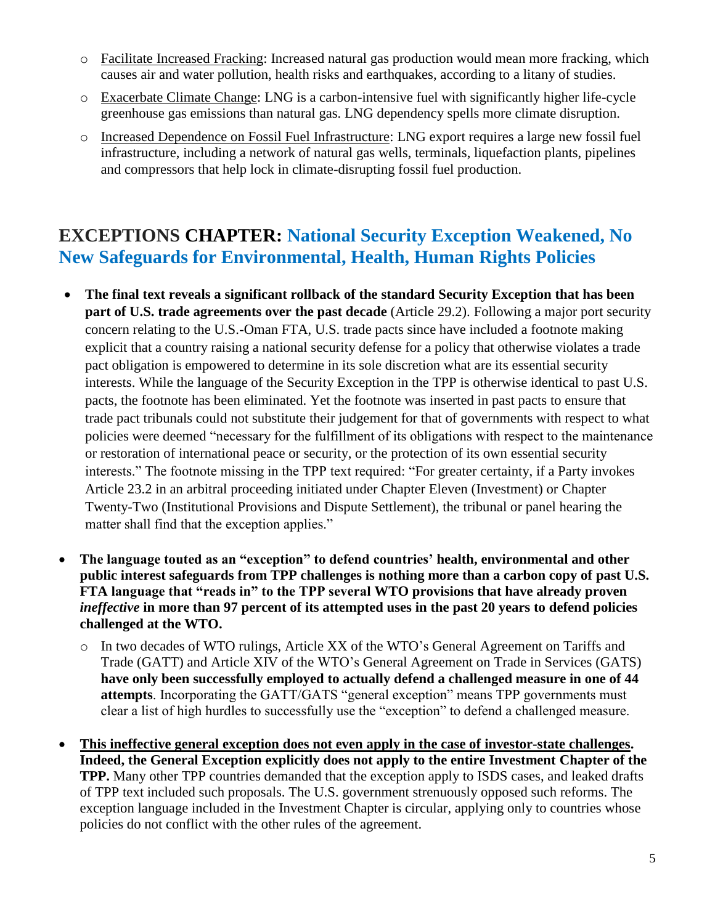- o Facilitate Increased Fracking: Increased natural gas production would mean more fracking, which causes air and water pollution, health risks and earthquakes, according to a litany of studies.
- o Exacerbate Climate Change: LNG is a carbon-intensive fuel with significantly higher life-cycle greenhouse gas emissions than natural gas. LNG dependency spells more climate disruption.
- o Increased Dependence on Fossil Fuel Infrastructure: LNG export requires a large new fossil fuel infrastructure, including a network of natural gas wells, terminals, liquefaction plants, pipelines and compressors that help lock in climate-disrupting fossil fuel production.

#### **EXCEPTIONS CHAPTER: National Security Exception Weakened, No New Safeguards for Environmental, Health, Human Rights Policies**

- **The final text reveals a significant rollback of the standard Security Exception that has been part of U.S. trade agreements over the past decade** (Article 29.2). Following a major port security concern relating to the U.S.-Oman FTA, U.S. trade pacts since have included a footnote making explicit that a country raising a national security defense for a policy that otherwise violates a trade pact obligation is empowered to determine in its sole discretion what are its essential security interests. While the language of the Security Exception in the TPP is otherwise identical to past U.S. pacts, the footnote has been eliminated. Yet the footnote was inserted in past pacts to ensure that trade pact tribunals could not substitute their judgement for that of governments with respect to what policies were deemed "necessary for the fulfillment of its obligations with respect to the maintenance or restoration of international peace or security, or the protection of its own essential security interests." The footnote missing in the TPP text required: "For greater certainty, if a Party invokes Article 23.2 in an arbitral proceeding initiated under Chapter Eleven (Investment) or Chapter Twenty-Two (Institutional Provisions and Dispute Settlement), the tribunal or panel hearing the matter shall find that the exception applies."
- **The language touted as an "exception" to defend countries' health, environmental and other public interest safeguards from TPP challenges is nothing more than a carbon copy of past U.S. FTA language that "reads in" to the TPP several WTO provisions that have already proven** *ineffective* **in more than 97 percent of its attempted uses in the past 20 years to defend policies challenged at the WTO.**
	- o In two decades of WTO rulings, Article XX of the WTO's General Agreement on Tariffs and Trade (GATT) and Article XIV of the WTO's General Agreement on Trade in Services (GATS) **have only been successfully employed to actually defend a challenged measure in one of 44 attempts**. Incorporating the GATT/GATS "general exception" means TPP governments must clear a list of high hurdles to successfully use the "exception" to defend a challenged measure.
- **This ineffective general exception does not even apply in the case of investor-state challenges. Indeed, the General Exception explicitly does not apply to the entire Investment Chapter of the TPP.** Many other TPP countries demanded that the exception apply to ISDS cases, and leaked drafts of TPP text included such proposals. The U.S. government strenuously opposed such reforms. The exception language included in the Investment Chapter is circular, applying only to countries whose policies do not conflict with the other rules of the agreement.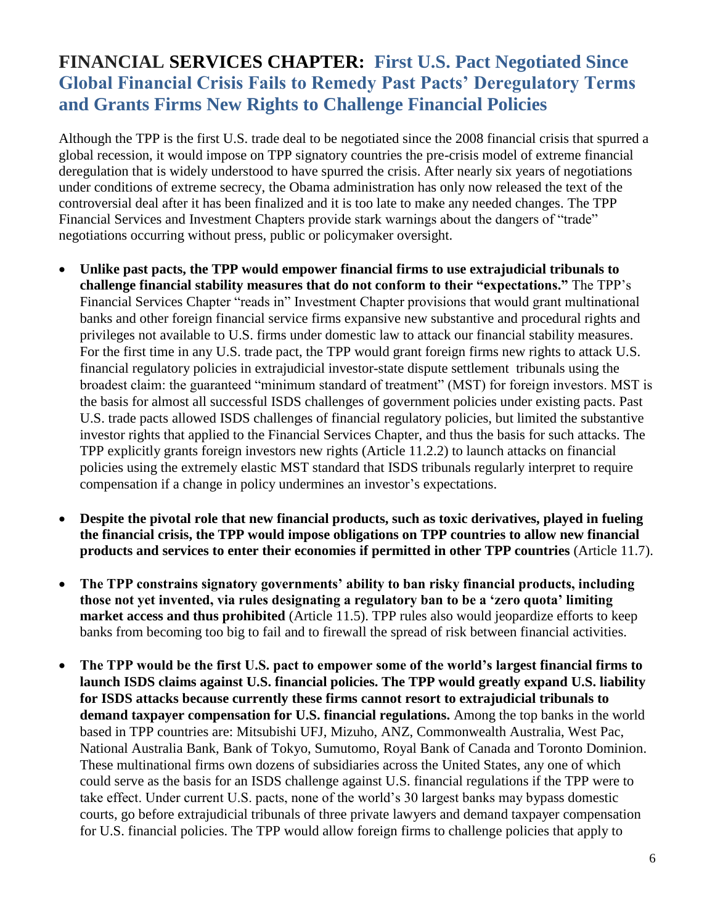## **FINANCIAL SERVICES CHAPTER:****First U.S. Pact Negotiated Since Global Financial Crisis Fails to Remedy Past Pacts' Deregulatory Terms and Grants Firms New Rights to Challenge Financial Policies**

Although the TPP is the first U.S. trade deal to be negotiated since the 2008 financial crisis that spurred a global recession, it would impose on TPP signatory countries the pre-crisis model of extreme financial deregulation that is widely understood to have spurred the crisis. After nearly six years of negotiations under conditions of extreme secrecy, the Obama administration has only now released the text of the controversial deal after it has been finalized and it is too late to make any needed changes. The TPP Financial Services and Investment Chapters provide stark warnings about the dangers of "trade" negotiations occurring without press, public or policymaker oversight.

- **Unlike past pacts, the TPP would empower financial firms to use extrajudicial tribunals to challenge financial stability measures that do not conform to their "expectations."** The TPP's Financial Services Chapter "reads in" Investment Chapter provisions that would grant multinational banks and other foreign financial service firms expansive new substantive and procedural rights and privileges not available to U.S. firms under domestic law to attack our financial stability measures. For the first time in any U.S. trade pact, the TPP would grant foreign firms new rights to attack U.S. financial regulatory policies in extrajudicial investor-state dispute settlement tribunals using the broadest claim: the guaranteed "minimum standard of treatment" (MST) for foreign investors. MST is the basis for almost all successful ISDS challenges of government policies under existing pacts. Past U.S. trade pacts allowed ISDS challenges of financial regulatory policies, but limited the substantive investor rights that applied to the Financial Services Chapter, and thus the basis for such attacks. The TPP explicitly grants foreign investors new rights (Article 11.2.2) to launch attacks on financial policies using the extremely elastic MST standard that ISDS tribunals regularly interpret to require compensation if a change in policy undermines an investor's expectations.
- **Despite the pivotal role that new financial products, such as toxic derivatives, played in fueling the financial crisis, the TPP would impose obligations on TPP countries to allow new financial products and services to enter their economies if permitted in other TPP countries** (Article 11.7).
- **The TPP constrains signatory governments' ability to ban risky financial products, including those not yet invented, via rules designating a regulatory ban to be a 'zero quota' limiting market access and thus prohibited** (Article 11.5). TPP rules also would jeopardize efforts to keep banks from becoming too big to fail and to firewall the spread of risk between financial activities.
- **The TPP would be the first U.S. pact to empower some of the world's largest financial firms to launch ISDS claims against U.S. financial policies. The TPP would greatly expand U.S. liability for ISDS attacks because currently these firms cannot resort to extrajudicial tribunals to demand taxpayer compensation for U.S. financial regulations.** Among the top banks in the world based in TPP countries are: Mitsubishi UFJ, Mizuho, ANZ, Commonwealth Australia, West Pac, National Australia Bank, Bank of Tokyo, Sumutomo, Royal Bank of Canada and Toronto Dominion. These multinational firms own dozens of subsidiaries across the United States, any one of which could serve as the basis for an ISDS challenge against U.S. financial regulations if the TPP were to take effect. Under current U.S. pacts, none of the world's 30 largest banks may bypass domestic courts, go before extrajudicial tribunals of three private lawyers and demand taxpayer compensation for U.S. financial policies. The TPP would allow foreign firms to challenge policies that apply to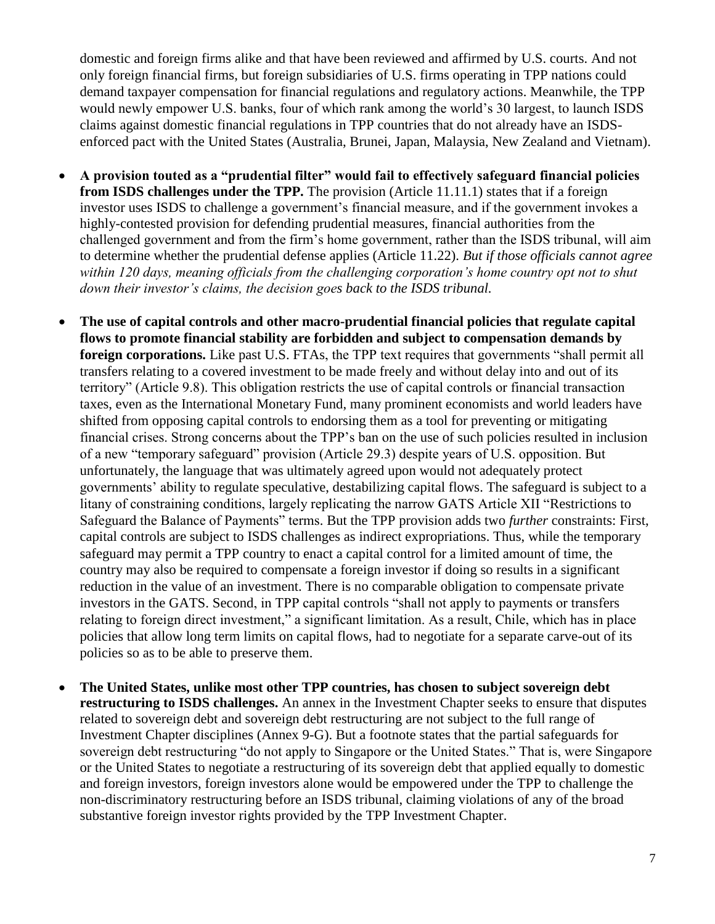domestic and foreign firms alike and that have been reviewed and affirmed by U.S. courts. And not only foreign financial firms, but foreign subsidiaries of U.S. firms operating in TPP nations could demand taxpayer compensation for financial regulations and regulatory actions. Meanwhile, the TPP would newly empower U.S. banks, four of which rank among the world's 30 largest, to launch ISDS claims against domestic financial regulations in TPP countries that do not already have an ISDSenforced pact with the United States (Australia, Brunei, Japan, Malaysia, New Zealand and Vietnam).

- **A provision touted as a "prudential filter" would fail to effectively safeguard financial policies from ISDS challenges under the TPP.** The provision (Article 11.11.1) states that if a foreign investor uses ISDS to challenge a government's financial measure, and if the government invokes a highly-contested provision for defending prudential measures, financial authorities from the challenged government and from the firm's home government, rather than the ISDS tribunal, will aim to determine whether the prudential defense applies (Article 11.22). *But if those officials cannot agree within 120 days, meaning officials from the challenging corporation's home country opt not to shut down their investor's claims, the decision goes back to the ISDS tribunal.*
- **The use of capital controls and other macro-prudential financial policies that regulate capital flows to promote financial stability are forbidden and subject to compensation demands by foreign corporations.** Like past U.S. FTAs, the TPP text requires that governments "shall permit all transfers relating to a covered investment to be made freely and without delay into and out of its territory" (Article 9.8). This obligation restricts the use of capital controls or financial transaction taxes, even as the International Monetary Fund, many prominent economists and world leaders have shifted from opposing capital controls to endorsing them as a tool for preventing or mitigating financial crises. Strong concerns about the TPP's ban on the use of such policies resulted in inclusion of a new "temporary safeguard" provision (Article 29.3) despite years of U.S. opposition. But unfortunately, the language that was ultimately agreed upon would not adequately protect governments' ability to regulate speculative, destabilizing capital flows. The safeguard is subject to a litany of constraining conditions, largely replicating the narrow GATS Article XII "Restrictions to Safeguard the Balance of Payments" terms. But the TPP provision adds two *further* constraints: First, capital controls are subject to ISDS challenges as indirect expropriations. Thus, while the temporary safeguard may permit a TPP country to enact a capital control for a limited amount of time, the country may also be required to compensate a foreign investor if doing so results in a significant reduction in the value of an investment. There is no comparable obligation to compensate private investors in the GATS. Second, in TPP capital controls "shall not apply to payments or transfers relating to foreign direct investment," a significant limitation. As a result, Chile, which has in place policies that allow long term limits on capital flows, had to negotiate for a separate carve-out of its policies so as to be able to preserve them.
- **The United States, unlike most other TPP countries, has chosen to subject sovereign debt restructuring to ISDS challenges.** An annex in the Investment Chapter seeks to ensure that disputes related to sovereign debt and sovereign debt restructuring are not subject to the full range of Investment Chapter disciplines (Annex 9-G). But a footnote states that the partial safeguards for sovereign debt restructuring "do not apply to Singapore or the United States." That is, were Singapore or the United States to negotiate a restructuring of its sovereign debt that applied equally to domestic and foreign investors, foreign investors alone would be empowered under the TPP to challenge the non-discriminatory restructuring before an ISDS tribunal, claiming violations of any of the broad substantive foreign investor rights provided by the TPP Investment Chapter.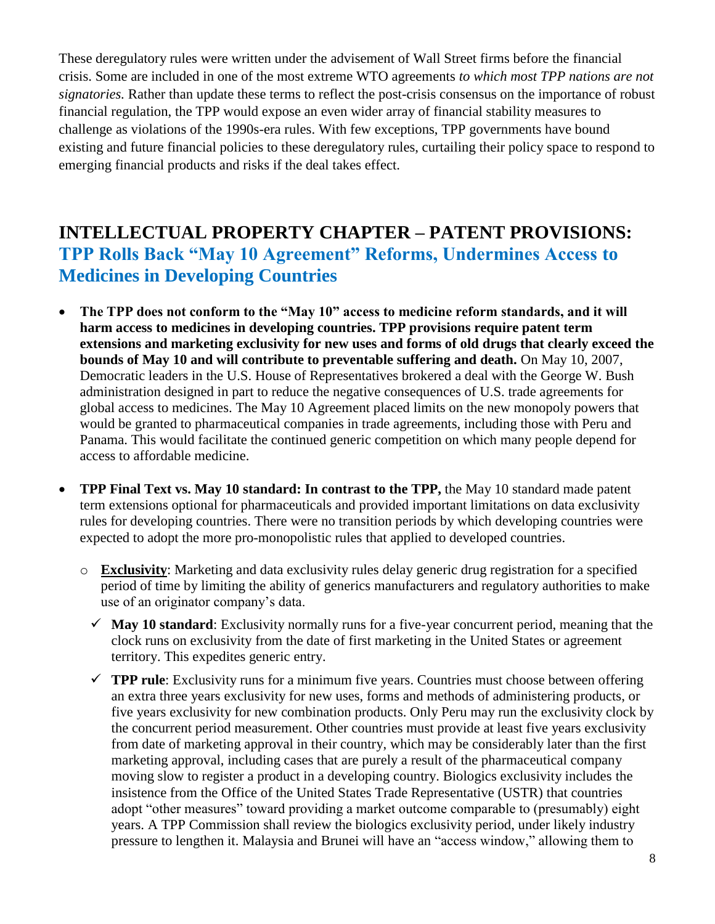These deregulatory rules were written under the advisement of Wall Street firms before the financial crisis. Some are included in one of the most extreme WTO agreements *to which most TPP nations are not signatories.* Rather than update these terms to reflect the post-crisis consensus on the importance of robust financial regulation, the TPP would expose an even wider array of financial stability measures to challenge as violations of the 1990s-era rules. With few exceptions, TPP governments have bound existing and future financial policies to these deregulatory rules, curtailing their policy space to respond to emerging financial products and risks if the deal takes effect.

#### **INTELLECTUAL PROPERTY CHAPTER – PATENT PROVISIONS: TPP Rolls Back "May 10 Agreement" Reforms, Undermines Access to Medicines in Developing Countries**

- **The TPP does not conform to the "May 10" access to medicine reform standards, and it will harm access to medicines in developing countries. TPP provisions require patent term extensions and marketing exclusivity for new uses and forms of old drugs that clearly exceed the bounds of May 10 and will contribute to preventable suffering and death.** On May 10, 2007, Democratic leaders in the U.S. House of Representatives brokered a deal with the George W. Bush administration designed in part to reduce the negative consequences of U.S. trade agreements for global access to medicines. The May 10 Agreement placed limits on the new monopoly powers that would be granted to pharmaceutical companies in trade agreements, including those with Peru and Panama. This would facilitate the continued generic competition on which many people depend for access to affordable medicine.
- **TPP Final Text vs. May 10 standard: In contrast to the TPP,** the May 10 standard made patent term extensions optional for pharmaceuticals and provided important limitations on data exclusivity rules for developing countries. There were no transition periods by which developing countries were expected to adopt the more pro-monopolistic rules that applied to developed countries.
	- o **Exclusivity**: Marketing and data exclusivity rules delay generic drug registration for a specified period of time by limiting the ability of generics manufacturers and regulatory authorities to make use of an originator company's data.
		- $\checkmark$  May 10 standard: Exclusivity normally runs for a five-year concurrent period, meaning that the clock runs on exclusivity from the date of first marketing in the United States or agreement territory. This expedites generic entry.
		- $\checkmark$  **TPP rule**: Exclusivity runs for a minimum five years. Countries must choose between offering an extra three years exclusivity for new uses, forms and methods of administering products, or five years exclusivity for new combination products. Only Peru may run the exclusivity clock by the concurrent period measurement. Other countries must provide at least five years exclusivity from date of marketing approval in their country, which may be considerably later than the first marketing approval, including cases that are purely a result of the pharmaceutical company moving slow to register a product in a developing country. Biologics exclusivity includes the insistence from the Office of the United States Trade Representative (USTR) that countries adopt "other measures" toward providing a market outcome comparable to (presumably) eight years. A TPP Commission shall review the biologics exclusivity period, under likely industry pressure to lengthen it. Malaysia and Brunei will have an "access window," allowing them to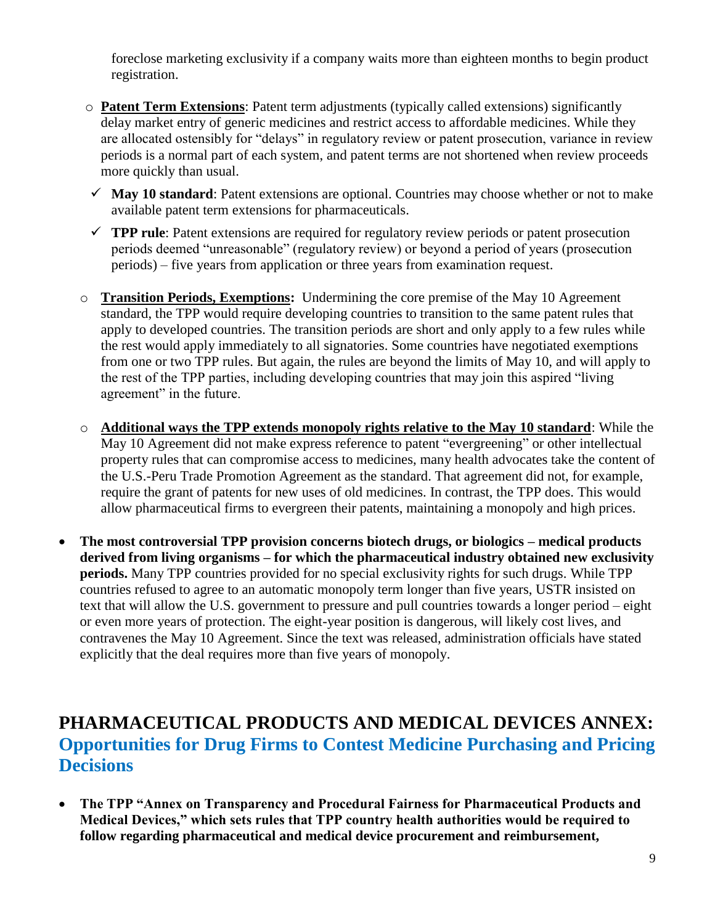foreclose marketing exclusivity if a company waits more than eighteen months to begin product registration.

- o **Patent Term Extensions**: Patent term adjustments (typically called extensions) significantly delay market entry of generic medicines and restrict access to affordable medicines. While they are allocated ostensibly for "delays" in regulatory review or patent prosecution, variance in review periods is a normal part of each system, and patent terms are not shortened when review proceeds more quickly than usual.
- $\checkmark$  May 10 standard: Patent extensions are optional. Countries may choose whether or not to make available patent term extensions for pharmaceuticals.
- **TPP rule**: Patent extensions are required for regulatory review periods or patent prosecution periods deemed "unreasonable" (regulatory review) or beyond a period of years (prosecution periods) – five years from application or three years from examination request.
- o **Transition Periods, Exemptions:** Undermining the core premise of the May 10 Agreement standard, the TPP would require developing countries to transition to the same patent rules that apply to developed countries. The transition periods are short and only apply to a few rules while the rest would apply immediately to all signatories. Some countries have negotiated exemptions from one or two TPP rules. But again, the rules are beyond the limits of May 10, and will apply to the rest of the TPP parties, including developing countries that may join this aspired "living agreement" in the future.
- o **Additional ways the TPP extends monopoly rights relative to the May 10 standard**: While the May 10 Agreement did not make express reference to patent "evergreening" or other intellectual property rules that can compromise access to medicines, many health advocates take the content of the U.S.-Peru Trade Promotion Agreement as the standard. That agreement did not, for example, require the grant of patents for new uses of old medicines. In contrast, the TPP does. This would allow pharmaceutical firms to evergreen their patents, maintaining a monopoly and high prices.
- **The most controversial TPP provision concerns biotech drugs, or biologics – medical products derived from living organisms – for which the pharmaceutical industry obtained new exclusivity periods.** Many TPP countries provided for no special exclusivity rights for such drugs. While TPP countries refused to agree to an automatic monopoly term longer than five years, USTR insisted on text that will allow the U.S. government to pressure and pull countries towards a longer period – eight or even more years of protection. The eight-year position is dangerous, will likely cost lives, and contravenes the May 10 Agreement. Since the text was released, administration officials have stated explicitly that the deal requires more than five years of monopoly.

#### **PHARMACEUTICAL PRODUCTS AND MEDICAL DEVICES ANNEX: Opportunities for Drug Firms to Contest Medicine Purchasing and Pricing Decisions**

 **The TPP "Annex on Transparency and Procedural Fairness for Pharmaceutical Products and Medical Devices," which sets rules that TPP country health authorities would be required to follow regarding pharmaceutical and medical device procurement and reimbursement,**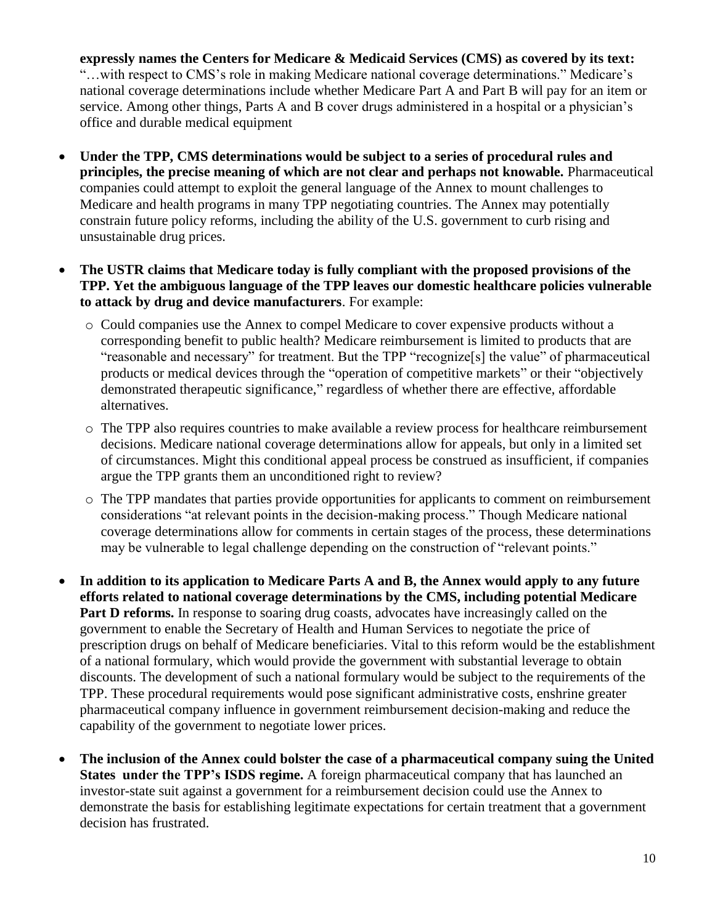**expressly names the Centers for Medicare & Medicaid Services (CMS) as covered by its text:**  "…with respect to CMS's role in making Medicare national coverage determinations." Medicare's national coverage determinations include whether Medicare Part A and Part B will pay for an item or service. Among other things, Parts A and B cover drugs administered in a hospital or a physician's office and durable medical equipment

- **Under the TPP, CMS determinations would be subject to a series of procedural rules and principles, the precise meaning of which are not clear and perhaps not knowable.** Pharmaceutical companies could attempt to exploit the general language of the Annex to mount challenges to Medicare and health programs in many TPP negotiating countries. The Annex may potentially constrain future policy reforms, including the ability of the U.S. government to curb rising and unsustainable drug prices.
- **The USTR claims that Medicare today is fully compliant with the proposed provisions of the TPP. Yet the ambiguous language of the TPP leaves our domestic healthcare policies vulnerable to attack by drug and device manufacturers**. For example:
	- o Could companies use the Annex to compel Medicare to cover expensive products without a corresponding benefit to public health? Medicare reimbursement is limited to products that are "reasonable and necessary" for treatment. But the TPP "recognize[s] the value" of pharmaceutical products or medical devices through the "operation of competitive markets" or their "objectively demonstrated therapeutic significance," regardless of whether there are effective, affordable alternatives.
	- o The TPP also requires countries to make available a review process for healthcare reimbursement decisions. Medicare national coverage determinations allow for appeals, but only in a limited set of circumstances. Might this conditional appeal process be construed as insufficient, if companies argue the TPP grants them an unconditioned right to review?
	- o The TPP mandates that parties provide opportunities for applicants to comment on reimbursement considerations "at relevant points in the decision-making process." Though Medicare national coverage determinations allow for comments in certain stages of the process, these determinations may be vulnerable to legal challenge depending on the construction of "relevant points."
- **In addition to its application to Medicare Parts A and B, the Annex would apply to any future efforts related to national coverage determinations by the CMS, including potential Medicare Part D reforms.** In response to soaring drug coasts, advocates have increasingly called on the government to enable the Secretary of Health and Human Services to negotiate the price of prescription drugs on behalf of Medicare beneficiaries. Vital to this reform would be the establishment of a national formulary, which would provide the government with substantial leverage to obtain discounts. The development of such a national formulary would be subject to the requirements of the TPP. These procedural requirements would pose significant administrative costs, enshrine greater pharmaceutical company influence in government reimbursement decision-making and reduce the capability of the government to negotiate lower prices.
- **The inclusion of the Annex could bolster the case of a pharmaceutical company suing the United States under the TPP's ISDS regime.** A foreign pharmaceutical company that has launched an investor-state suit against a government for a reimbursement decision could use the Annex to demonstrate the basis for establishing legitimate expectations for certain treatment that a government decision has frustrated.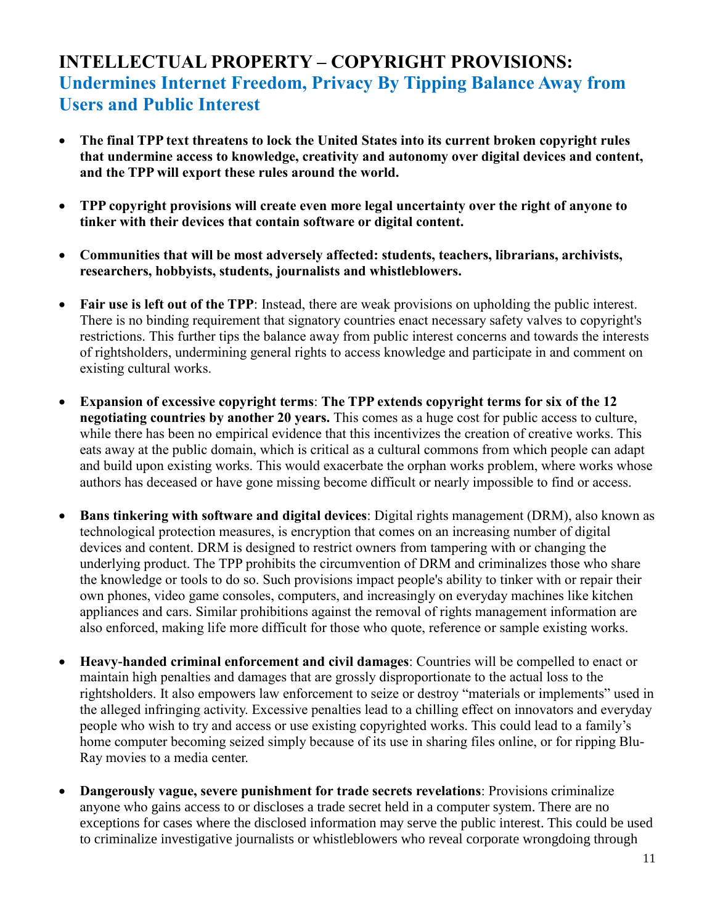## **INTELLECTUAL PROPERTY – COPYRIGHT PROVISIONS: Undermines Internet Freedom, Privacy By Tipping Balance Away from Users and Public Interest**

- **The final TPP text threatens to lock the United States into its current broken copyright rules that undermine access to knowledge, creativity and autonomy over digital devices and content, and the TPP will export these rules around the world.**
- **TPP copyright provisions will create even more legal uncertainty over the right of anyone to tinker with their devices that contain software or digital content.**
- **Communities that will be most adversely affected: students, teachers, librarians, archivists, researchers, hobbyists, students, journalists and whistleblowers.**
- **Fair use is left out of the TPP**: Instead, there are weak provisions on upholding the public interest. There is no binding requirement that signatory countries enact necessary safety valves to copyright's restrictions. This further tips the balance away from public interest concerns and towards the interests of rightsholders, undermining general rights to access knowledge and participate in and comment on existing cultural works.
- **Expansion of excessive copyright terms**: **The TPP extends copyright terms for six of the 12 negotiating countries by another 20 years.** This comes as a huge cost for public access to culture, while there has been no empirical evidence that this incentivizes the creation of creative works. This eats away at the public domain, which is critical as a cultural commons from which people can adapt and build upon existing works. This would exacerbate the orphan works problem, where works whose authors has deceased or have gone missing become difficult or nearly impossible to find or access.
- **Bans tinkering with software and digital devices**: Digital rights management (DRM), also known as technological protection measures, is encryption that comes on an increasing number of digital devices and content. DRM is designed to restrict owners from tampering with or changing the underlying product. The TPP prohibits the circumvention of DRM and criminalizes those who share the knowledge or tools to do so. Such provisions impact people's ability to tinker with or repair their own phones, video game consoles, computers, and increasingly on everyday machines like kitchen appliances and cars. Similar prohibitions against the removal of rights management information are also enforced, making life more difficult for those who quote, reference or sample existing works.
- **Heavy-handed criminal enforcement and civil damages**: Countries will be compelled to enact or maintain high penalties and damages that are grossly disproportionate to the actual loss to the rightsholders. It also empowers law enforcement to seize or destroy "materials or implements" used in the alleged infringing activity. Excessive penalties lead to a chilling effect on innovators and everyday people who wish to try and access or use existing copyrighted works. This could lead to a family's home computer becoming seized simply because of its use in sharing files online, or for ripping Blu-Ray movies to a media center.
- **Dangerously vague, severe punishment for trade secrets revelations**: Provisions criminalize anyone who gains access to or discloses a trade secret held in a computer system. There are no exceptions for cases where the disclosed information may serve the public interest. This could be used to criminalize investigative journalists or whistleblowers who reveal corporate wrongdoing through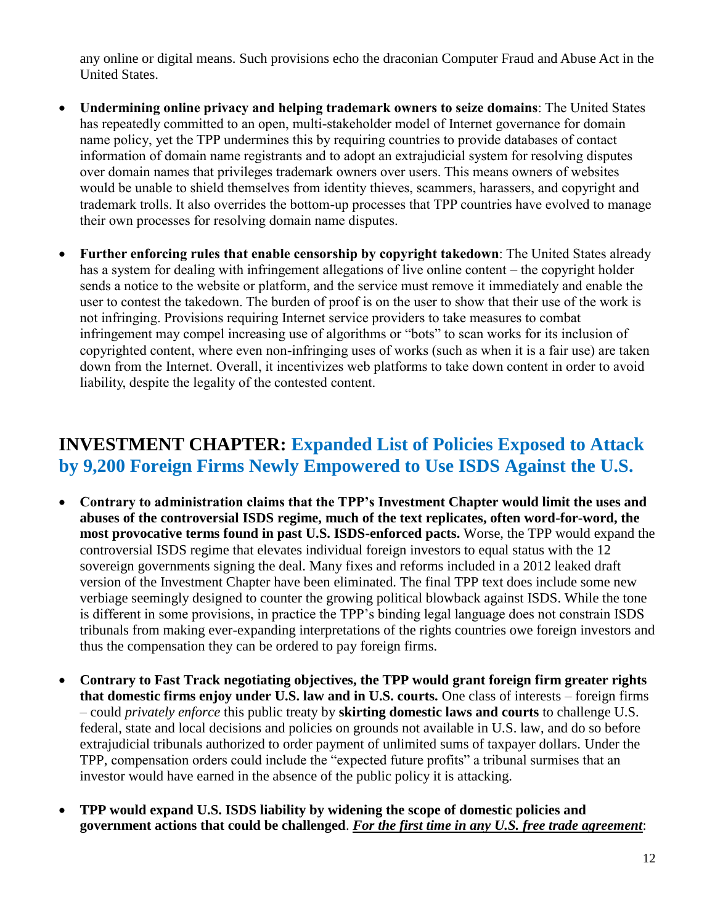any online or digital means. Such provisions echo the draconian Computer Fraud and Abuse Act in the United States.

- **Undermining online privacy and helping trademark owners to seize domains**: The United States has repeatedly committed to an open, multi-stakeholder model of Internet governance for domain name policy, yet the TPP undermines this by requiring countries to provide databases of contact information of domain name registrants and to adopt an extrajudicial system for resolving disputes over domain names that privileges trademark owners over users. This means owners of websites would be unable to shield themselves from identity thieves, scammers, harassers, and copyright and trademark trolls. It also overrides the bottom-up processes that TPP countries have evolved to manage their own processes for resolving domain name disputes.
- **Further enforcing rules that enable censorship by copyright takedown**: The United States already has a system for dealing with infringement allegations of live online content – the copyright holder sends a notice to the website or platform, and the service must remove it immediately and enable the user to contest the takedown. The burden of proof is on the user to show that their use of the work is not infringing. Provisions requiring Internet service providers to take measures to combat infringement may compel increasing use of algorithms or "bots" to scan works for its inclusion of copyrighted content, where even non-infringing uses of works (such as when it is a fair use) are taken down from the Internet. Overall, it incentivizes web platforms to take down content in order to avoid liability, despite the legality of the contested content.

#### **INVESTMENT CHAPTER: Expanded List of Policies Exposed to Attack by 9,200 Foreign Firms Newly Empowered to Use ISDS Against the U.S.**

- **Contrary to administration claims that the TPP's Investment Chapter would limit the uses and abuses of the controversial ISDS regime, much of the text replicates, often word-for-word, the most provocative terms found in past U.S. ISDS-enforced pacts.** Worse, the TPP would expand the controversial ISDS regime that elevates individual foreign investors to equal status with the 12 sovereign governments signing the deal. Many fixes and reforms included in a 2012 leaked draft version of the Investment Chapter have been eliminated. The final TPP text does include some new verbiage seemingly designed to counter the growing political blowback against ISDS. While the tone is different in some provisions, in practice the TPP's binding legal language does not constrain ISDS tribunals from making ever-expanding interpretations of the rights countries owe foreign investors and thus the compensation they can be ordered to pay foreign firms.
- **Contrary to Fast Track negotiating objectives, the TPP would grant foreign firm greater rights that domestic firms enjoy under U.S. law and in U.S. courts.** One class of interests – foreign firms – could *privately enforce* this public treaty by **skirting domestic laws and courts** to challenge U.S. federal, state and local decisions and policies on grounds not available in U.S. law, and do so before extrajudicial tribunals authorized to order payment of unlimited sums of taxpayer dollars. Under the TPP, compensation orders could include the "expected future profits" a tribunal surmises that an investor would have earned in the absence of the public policy it is attacking.
- **TPP would expand U.S. ISDS liability by widening the scope of domestic policies and government actions that could be challenged**. *For the first time in any U.S. free trade agreement*: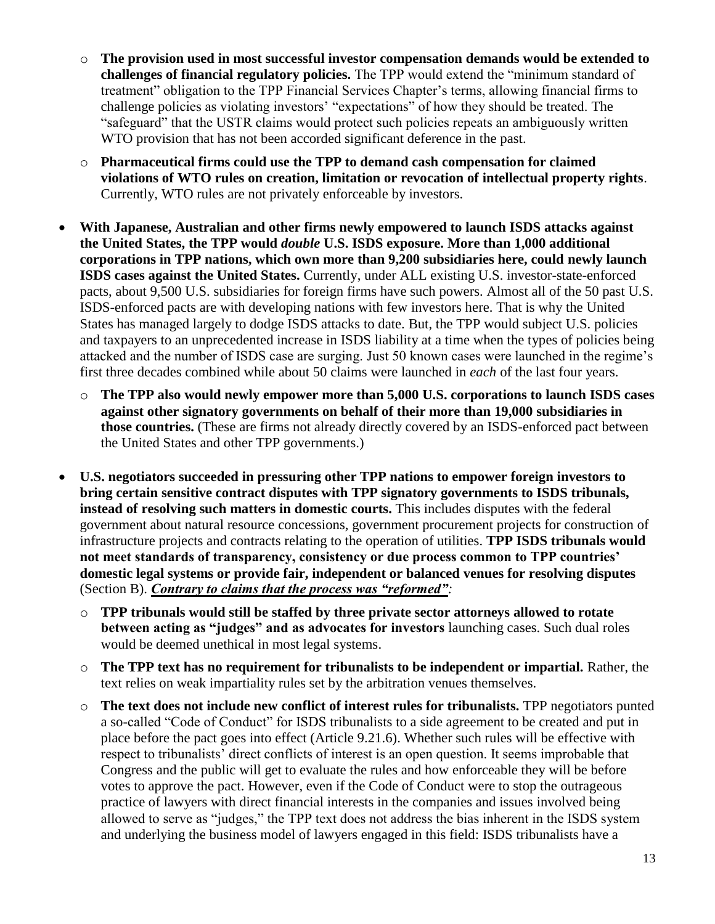- o **The provision used in most successful investor compensation demands would be extended to challenges of financial regulatory policies.** The TPP would extend the "minimum standard of treatment" obligation to the TPP Financial Services Chapter's terms, allowing financial firms to challenge policies as violating investors' "expectations" of how they should be treated. The "safeguard" that the USTR claims would protect such policies repeats an ambiguously written WTO provision that has not been accorded significant deference in the past.
- o **Pharmaceutical firms could use the TPP to demand cash compensation for claimed violations of WTO rules on creation, limitation or revocation of intellectual property rights**. Currently, WTO rules are not privately enforceable by investors.
- **With Japanese, Australian and other firms newly empowered to launch ISDS attacks against the United States, the TPP would** *double* **U.S. ISDS exposure. More than 1,000 additional corporations in TPP nations, which own more than 9,200 subsidiaries here, could newly launch ISDS cases against the United States.** Currently, under ALL existing U.S. investor-state-enforced pacts, about 9,500 U.S. subsidiaries for foreign firms have such powers. Almost all of the 50 past U.S. ISDS-enforced pacts are with developing nations with few investors here. That is why the United States has managed largely to dodge ISDS attacks to date. But, the TPP would subject U.S. policies and taxpayers to an unprecedented increase in ISDS liability at a time when the types of policies being attacked and the number of ISDS case are surging. Just 50 known cases were launched in the regime's first three decades combined while about 50 claims were launched in *each* of the last four years.
	- o **The TPP also would newly empower more than 5,000 U.S. corporations to launch ISDS cases against other signatory governments on behalf of their more than 19,000 subsidiaries in those countries.** (These are firms not already directly covered by an ISDS-enforced pact between the United States and other TPP governments.)
- **U.S. negotiators succeeded in pressuring other TPP nations to empower foreign investors to bring certain sensitive contract disputes with TPP signatory governments to ISDS tribunals, instead of resolving such matters in domestic courts.** This includes disputes with the federal government about natural resource concessions, government procurement projects for construction of infrastructure projects and contracts relating to the operation of utilities. **TPP ISDS tribunals would not meet standards of transparency, consistency or due process common to TPP countries' domestic legal systems or provide fair, independent or balanced venues for resolving disputes** (Section B). *Contrary to claims that the process was "reformed":*
	- o **TPP tribunals would still be staffed by three private sector attorneys allowed to rotate between acting as "judges" and as advocates for investors** launching cases. Such dual roles would be deemed unethical in most legal systems.
	- o **The TPP text has no requirement for tribunalists to be independent or impartial.** Rather, the text relies on weak impartiality rules set by the arbitration venues themselves.
	- o **The text does not include new conflict of interest rules for tribunalists.** TPP negotiators punted a so-called "Code of Conduct" for ISDS tribunalists to a side agreement to be created and put in place before the pact goes into effect (Article 9.21.6). Whether such rules will be effective with respect to tribunalists' direct conflicts of interest is an open question. It seems improbable that Congress and the public will get to evaluate the rules and how enforceable they will be before votes to approve the pact. However, even if the Code of Conduct were to stop the outrageous practice of lawyers with direct financial interests in the companies and issues involved being allowed to serve as "judges," the TPP text does not address the bias inherent in the ISDS system and underlying the business model of lawyers engaged in this field: ISDS tribunalists have a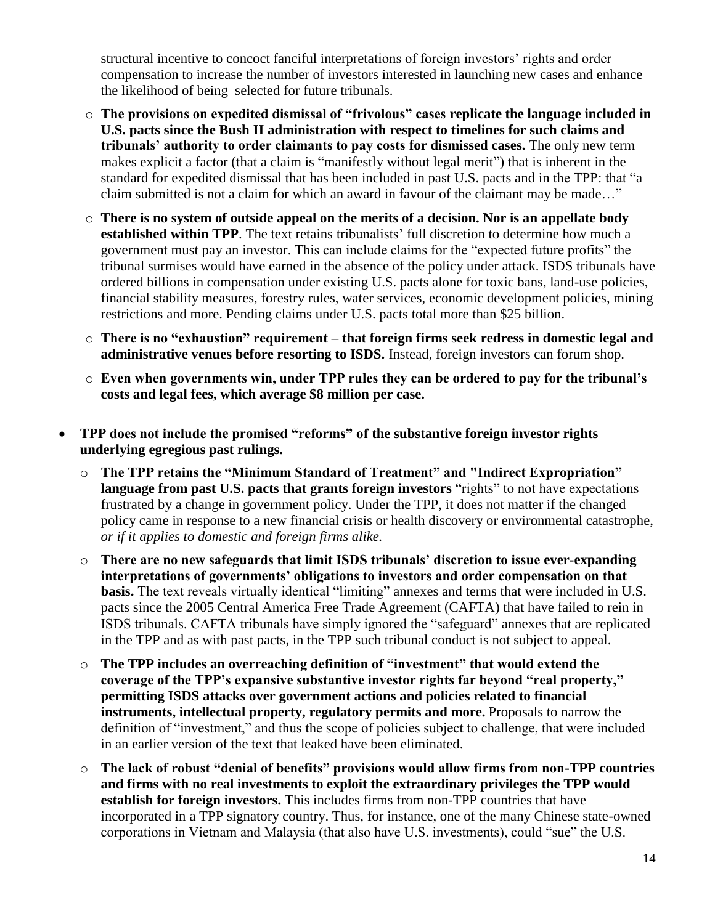structural incentive to concoct fanciful interpretations of foreign investors' rights and order compensation to increase the number of investors interested in launching new cases and enhance the likelihood of being selected for future tribunals.

- o **The provisions on expedited dismissal of "frivolous" cases replicate the language included in U.S. pacts since the Bush II administration with respect to timelines for such claims and tribunals' authority to order claimants to pay costs for dismissed cases.** The only new term makes explicit a factor (that a claim is "manifestly without legal merit") that is inherent in the standard for expedited dismissal that has been included in past U.S. pacts and in the TPP: that "a claim submitted is not a claim for which an award in favour of the claimant may be made…"
- o **There is no system of outside appeal on the merits of a decision. Nor is an appellate body established within TPP**. The text retains tribunalists' full discretion to determine how much a government must pay an investor. This can include claims for the "expected future profits" the tribunal surmises would have earned in the absence of the policy under attack. ISDS tribunals have ordered billions in compensation under existing U.S. pacts alone for toxic bans, land-use policies, financial stability measures, forestry rules, water services, economic development policies, mining restrictions and more. Pending claims under U.S. pacts total more than \$25 billion.
- o **There is no "exhaustion" requirement – that foreign firms seek redress in domestic legal and administrative venues before resorting to ISDS.** Instead, foreign investors can forum shop.
- o **Even when governments win, under TPP rules they can be ordered to pay for the tribunal's costs and legal fees, which average \$8 million per case.**
- **TPP does not include the promised "reforms" of the substantive foreign investor rights underlying egregious past rulings.** 
	- o **The TPP retains the "Minimum Standard of Treatment" and "Indirect Expropriation" language from past U.S. pacts that grants foreign investors** "rights" to not have expectations frustrated by a change in government policy. Under the TPP, it does not matter if the changed policy came in response to a new financial crisis or health discovery or environmental catastrophe, *or if it applies to domestic and foreign firms alike.*
	- o **There are no new safeguards that limit ISDS tribunals' discretion to issue ever-expanding interpretations of governments' obligations to investors and order compensation on that basis.** The text reveals virtually identical "limiting" annexes and terms that were included in U.S. pacts since the 2005 Central America Free Trade Agreement (CAFTA) that have failed to rein in ISDS tribunals. CAFTA tribunals have simply ignored the "safeguard" annexes that are replicated in the TPP and as with past pacts, in the TPP such tribunal conduct is not subject to appeal.
	- o **The TPP includes an overreaching definition of "investment" that would extend the coverage of the TPP's expansive substantive investor rights far beyond "real property," permitting ISDS attacks over government actions and policies related to financial instruments, intellectual property, regulatory permits and more.** Proposals to narrow the definition of "investment," and thus the scope of policies subject to challenge, that were included in an earlier version of the text that leaked have been eliminated.
	- o **The lack of robust "denial of benefits" provisions would allow firms from non-TPP countries and firms with no real investments to exploit the extraordinary privileges the TPP would establish for foreign investors.** This includes firms from non-TPP countries that have incorporated in a TPP signatory country. Thus, for instance, one of the many Chinese state-owned corporations in Vietnam and Malaysia (that also have U.S. investments), could "sue" the U.S.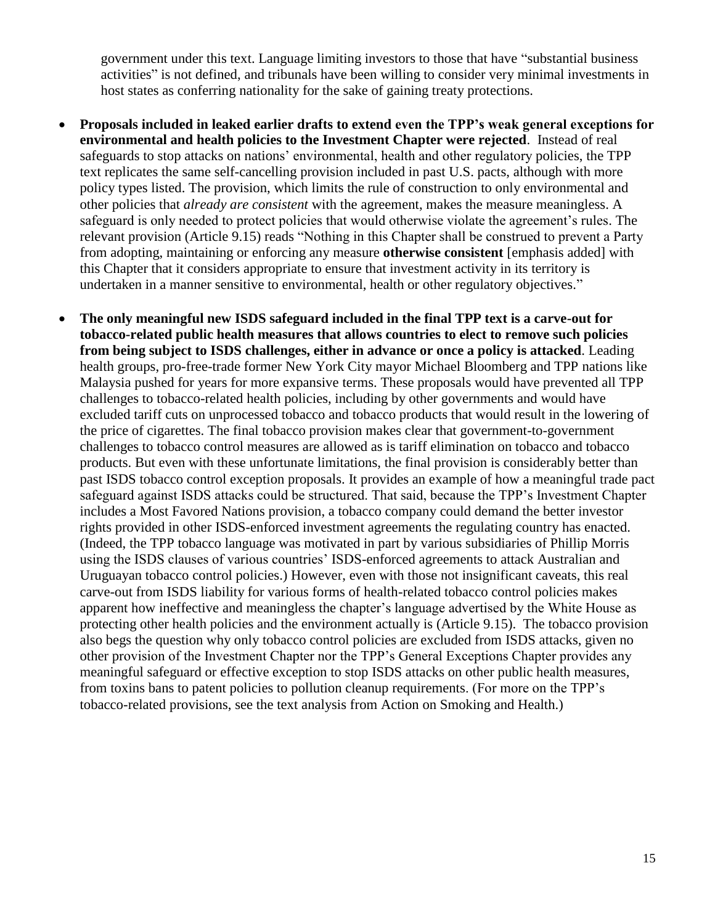government under this text. Language limiting investors to those that have "substantial business activities" is not defined, and tribunals have been willing to consider very minimal investments in host states as conferring nationality for the sake of gaining treaty protections.

- **Proposals included in leaked earlier drafts to extend even the TPP's weak general exceptions for environmental and health policies to the Investment Chapter were rejected**. Instead of real safeguards to stop attacks on nations' environmental, health and other regulatory policies, the TPP text replicates the same self-cancelling provision included in past U.S. pacts, although with more policy types listed. The provision, which limits the rule of construction to only environmental and other policies that *already are consistent* with the agreement, makes the measure meaningless. A safeguard is only needed to protect policies that would otherwise violate the agreement's rules. The relevant provision (Article 9.15) reads "Nothing in this Chapter shall be construed to prevent a Party from adopting, maintaining or enforcing any measure **otherwise consistent** [emphasis added] with this Chapter that it considers appropriate to ensure that investment activity in its territory is undertaken in a manner sensitive to environmental, health or other regulatory objectives."
- **The only meaningful new ISDS safeguard included in the final TPP text is a carve-out for tobacco-related public health measures that allows countries to elect to remove such policies from being subject to ISDS challenges, either in advance or once a policy is attacked**. Leading health groups, pro-free-trade former New York City mayor Michael Bloomberg and TPP nations like Malaysia pushed for years for more expansive terms. These proposals would have prevented all TPP challenges to tobacco-related health policies, including by other governments and would have excluded tariff cuts on unprocessed tobacco and tobacco products that would result in the lowering of the price of cigarettes. The final tobacco provision makes clear that government-to-government challenges to tobacco control measures are allowed as is tariff elimination on tobacco and tobacco products. But even with these unfortunate limitations, the final provision is considerably better than past ISDS tobacco control exception proposals. It provides an example of how a meaningful trade pact safeguard against ISDS attacks could be structured. That said, because the TPP's Investment Chapter includes a Most Favored Nations provision, a tobacco company could demand the better investor rights provided in other ISDS-enforced investment agreements the regulating country has enacted. (Indeed, the TPP tobacco language was motivated in part by various subsidiaries of Phillip Morris using the ISDS clauses of various countries' ISDS-enforced agreements to attack Australian and Uruguayan tobacco control policies.) However, even with those not insignificant caveats, this real carve-out from ISDS liability for various forms of health-related tobacco control policies makes apparent how ineffective and meaningless the chapter's language advertised by the White House as protecting other health policies and the environment actually is (Article 9.15). The tobacco provision also begs the question why only tobacco control policies are excluded from ISDS attacks, given no other provision of the Investment Chapter nor the TPP's General Exceptions Chapter provides any meaningful safeguard or effective exception to stop ISDS attacks on other public health measures, from toxins bans to patent policies to pollution cleanup requirements. (For more on the TPP's tobacco-related provisions, see the text analysis from Action on Smoking and Health.)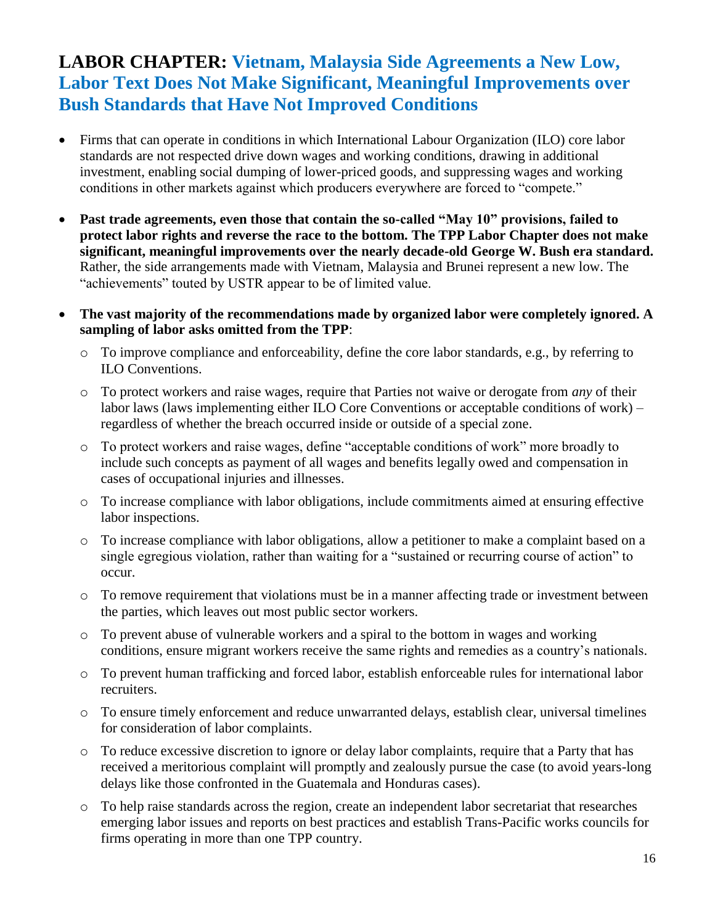## **LABOR CHAPTER: Vietnam, Malaysia Side Agreements a New Low, Labor Text Does Not Make Significant, Meaningful Improvements over Bush Standards that Have Not Improved Conditions**

- Firms that can operate in conditions in which International Labour Organization (ILO) core labor standards are not respected drive down wages and working conditions, drawing in additional investment, enabling social dumping of lower-priced goods, and suppressing wages and working conditions in other markets against which producers everywhere are forced to "compete."
- **Past trade agreements, even those that contain the so-called "May 10" provisions, failed to protect labor rights and reverse the race to the bottom. The TPP Labor Chapter does not make significant, meaningful improvements over the nearly decade-old George W. Bush era standard.** Rather, the side arrangements made with Vietnam, Malaysia and Brunei represent a new low. The "achievements" touted by USTR appear to be of limited value.
- **The vast majority of the recommendations made by organized labor were completely ignored. A sampling of labor asks omitted from the TPP**:
	- o To improve compliance and enforceability, define the core labor standards, e.g., by referring to ILO Conventions.
	- o To protect workers and raise wages, require that Parties not waive or derogate from *any* of their labor laws (laws implementing either ILO Core Conventions or acceptable conditions of work) – regardless of whether the breach occurred inside or outside of a special zone.
	- o To protect workers and raise wages, define "acceptable conditions of work" more broadly to include such concepts as payment of all wages and benefits legally owed and compensation in cases of occupational injuries and illnesses.
	- o To increase compliance with labor obligations, include commitments aimed at ensuring effective labor inspections.
	- o To increase compliance with labor obligations, allow a petitioner to make a complaint based on a single egregious violation, rather than waiting for a "sustained or recurring course of action" to occur.
	- o To remove requirement that violations must be in a manner affecting trade or investment between the parties, which leaves out most public sector workers.
	- o To prevent abuse of vulnerable workers and a spiral to the bottom in wages and working conditions, ensure migrant workers receive the same rights and remedies as a country's nationals.
	- o To prevent human trafficking and forced labor, establish enforceable rules for international labor recruiters.
	- o To ensure timely enforcement and reduce unwarranted delays, establish clear, universal timelines for consideration of labor complaints.
	- o To reduce excessive discretion to ignore or delay labor complaints, require that a Party that has received a meritorious complaint will promptly and zealously pursue the case (to avoid years-long delays like those confronted in the Guatemala and Honduras cases).
	- o To help raise standards across the region, create an independent labor secretariat that researches emerging labor issues and reports on best practices and establish Trans-Pacific works councils for firms operating in more than one TPP country.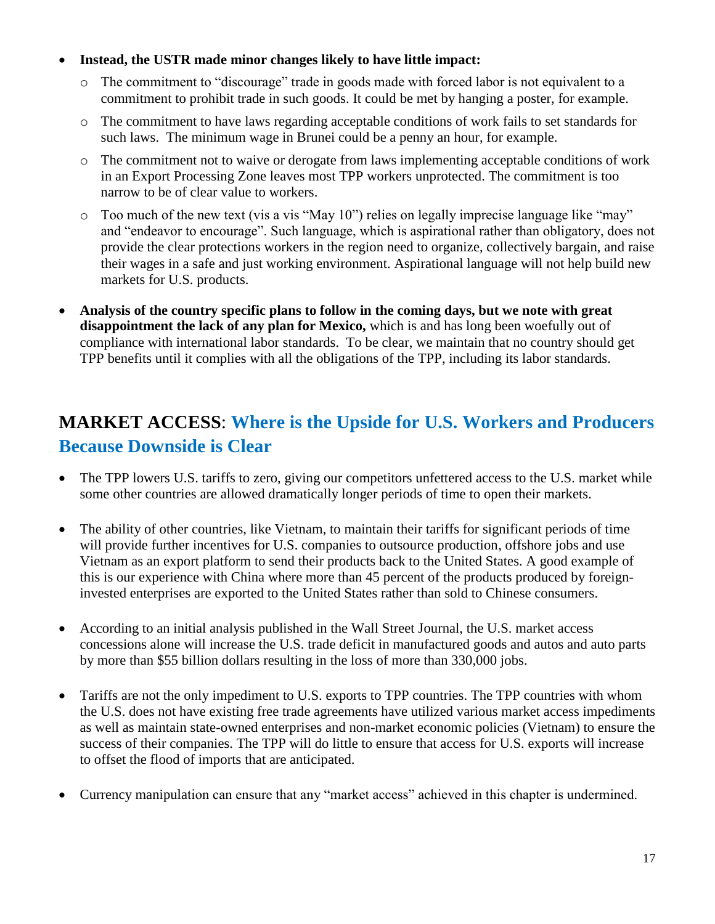#### **Instead, the USTR made minor changes likely to have little impact:**

- o The commitment to "discourage" trade in goods made with forced labor is not equivalent to a commitment to prohibit trade in such goods. It could be met by hanging a poster, for example.
- o The commitment to have laws regarding acceptable conditions of work fails to set standards for such laws. The minimum wage in Brunei could be a penny an hour, for example.
- o The commitment not to waive or derogate from laws implementing acceptable conditions of work in an Export Processing Zone leaves most TPP workers unprotected. The commitment is too narrow to be of clear value to workers.
- o Too much of the new text (vis a vis "May 10") relies on legally imprecise language like "may" and "endeavor to encourage". Such language, which is aspirational rather than obligatory, does not provide the clear protections workers in the region need to organize, collectively bargain, and raise their wages in a safe and just working environment. Aspirational language will not help build new markets for U.S. products.
- **Analysis of the country specific plans to follow in the coming days, but we note with great disappointment the lack of any plan for Mexico,** which is and has long been woefully out of compliance with international labor standards. To be clear, we maintain that no country should get TPP benefits until it complies with all the obligations of the TPP, including its labor standards.

## **MARKET ACCESS**: **Where is the Upside for U.S. Workers and Producers Because Downside is Clear**

- The TPP lowers U.S. tariffs to zero, giving our competitors unfettered access to the U.S. market while some other countries are allowed dramatically longer periods of time to open their markets.
- The ability of other countries, like Vietnam, to maintain their tariffs for significant periods of time will provide further incentives for U.S. companies to outsource production, offshore jobs and use Vietnam as an export platform to send their products back to the United States. A good example of this is our experience with China where more than 45 percent of the products produced by foreigninvested enterprises are exported to the United States rather than sold to Chinese consumers.
- According to an initial analysis published in the Wall Street Journal, the U.S. market access concessions alone will increase the U.S. trade deficit in manufactured goods and autos and auto parts by more than \$55 billion dollars resulting in the loss of more than 330,000 jobs.
- Tariffs are not the only impediment to U.S. exports to TPP countries. The TPP countries with whom the U.S. does not have existing free trade agreements have utilized various market access impediments as well as maintain state-owned enterprises and non-market economic policies (Vietnam) to ensure the success of their companies. The TPP will do little to ensure that access for U.S. exports will increase to offset the flood of imports that are anticipated.
- Currency manipulation can ensure that any "market access" achieved in this chapter is undermined.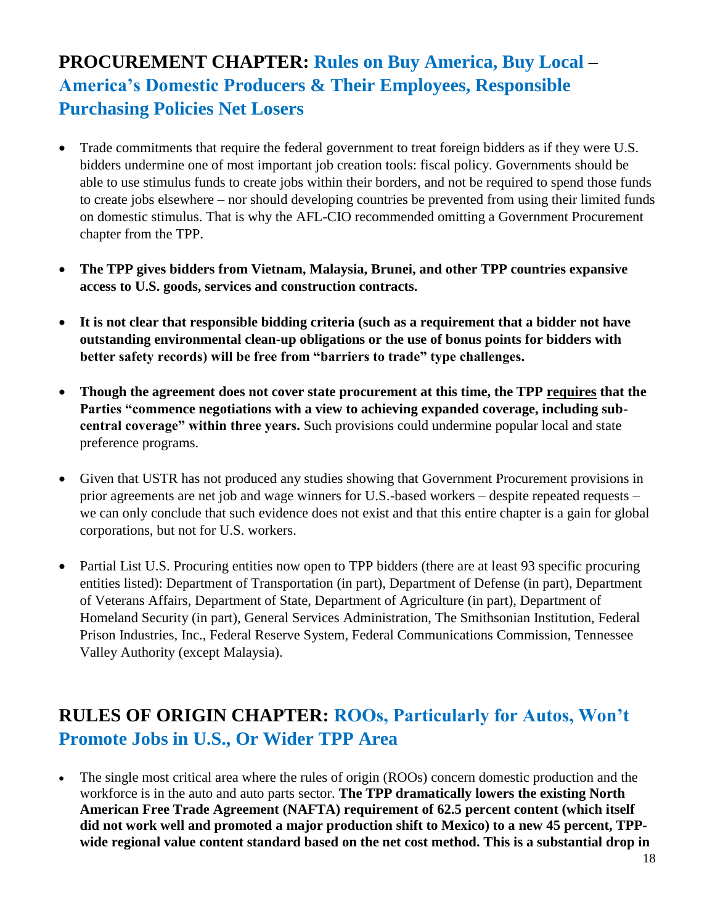# **PROCUREMENT CHAPTER: Rules on Buy America, Buy Local – America's Domestic Producers & Their Employees, Responsible Purchasing Policies Net Losers**

- Trade commitments that require the federal government to treat foreign bidders as if they were U.S. bidders undermine one of most important job creation tools: fiscal policy. Governments should be able to use stimulus funds to create jobs within their borders, and not be required to spend those funds to create jobs elsewhere – nor should developing countries be prevented from using their limited funds on domestic stimulus. That is why the AFL-CIO recommended omitting a Government Procurement chapter from the TPP.
- **The TPP gives bidders from Vietnam, Malaysia, Brunei, and other TPP countries expansive access to U.S. goods, services and construction contracts.**
- **It is not clear that responsible bidding criteria (such as a requirement that a bidder not have outstanding environmental clean-up obligations or the use of bonus points for bidders with better safety records) will be free from "barriers to trade" type challenges.**
- **Though the agreement does not cover state procurement at this time, the TPP requires that the Parties "commence negotiations with a view to achieving expanded coverage, including subcentral coverage" within three years.** Such provisions could undermine popular local and state preference programs.
- Given that USTR has not produced any studies showing that Government Procurement provisions in prior agreements are net job and wage winners for U.S.-based workers – despite repeated requests – we can only conclude that such evidence does not exist and that this entire chapter is a gain for global corporations, but not for U.S. workers.
- Partial List U.S. Procuring entities now open to TPP bidders (there are at least 93 specific procuring entities listed): Department of Transportation (in part), Department of Defense (in part), Department of Veterans Affairs, Department of State, Department of Agriculture (in part), Department of Homeland Security (in part), General Services Administration, The Smithsonian Institution, Federal Prison Industries, Inc., Federal Reserve System, Federal Communications Commission, Tennessee Valley Authority (except Malaysia).

# **RULES OF ORIGIN CHAPTER: ROOs, Particularly for Autos, Won't Promote Jobs in U.S., Or Wider TPP Area**

• The single most critical area where the rules of origin (ROOs) concern domestic production and the workforce is in the auto and auto parts sector. **The TPP dramatically lowers the existing North American Free Trade Agreement (NAFTA) requirement of 62.5 percent content (which itself did not work well and promoted a major production shift to Mexico) to a new 45 percent, TPPwide regional value content standard based on the net cost method. This is a substantial drop in**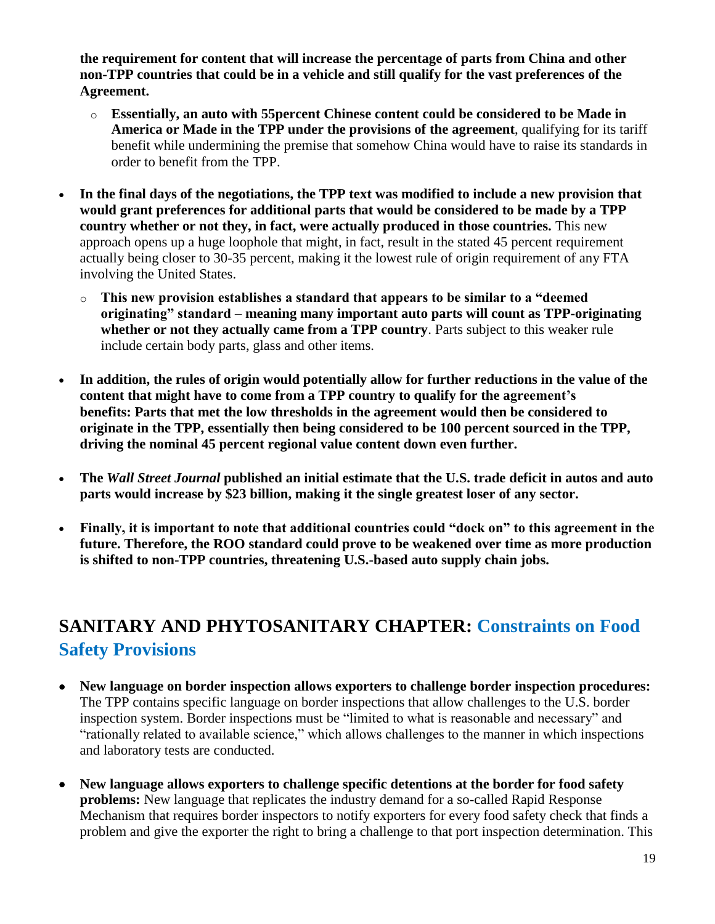**the requirement for content that will increase the percentage of parts from China and other non-TPP countries that could be in a vehicle and still qualify for the vast preferences of the Agreement.**

- o **Essentially, an auto with 55percent Chinese content could be considered to be Made in America or Made in the TPP under the provisions of the agreement**, qualifying for its tariff benefit while undermining the premise that somehow China would have to raise its standards in order to benefit from the TPP.
- **In the final days of the negotiations, the TPP text was modified to include a new provision that would grant preferences for additional parts that would be considered to be made by a TPP country whether or not they, in fact, were actually produced in those countries.** This new approach opens up a huge loophole that might, in fact, result in the stated 45 percent requirement actually being closer to 30-35 percent, making it the lowest rule of origin requirement of any FTA involving the United States.
	- o **This new provision establishes a standard that appears to be similar to a "deemed originating" standard** – **meaning many important auto parts will count as TPP-originating whether or not they actually came from a TPP country**. Parts subject to this weaker rule include certain body parts, glass and other items.
- **In addition, the rules of origin would potentially allow for further reductions in the value of the content that might have to come from a TPP country to qualify for the agreement's benefits: Parts that met the low thresholds in the agreement would then be considered to originate in the TPP, essentially then being considered to be 100 percent sourced in the TPP, driving the nominal 45 percent regional value content down even further.**
- **The** *Wall Street Journal* **published an initial estimate that the U.S. trade deficit in autos and auto parts would increase by \$23 billion, making it the single greatest loser of any sector.**
- **Finally, it is important to note that additional countries could "dock on" to this agreement in the future. Therefore, the ROO standard could prove to be weakened over time as more production is shifted to non-TPP countries, threatening U.S.-based auto supply chain jobs.**

# **SANITARY AND PHYTOSANITARY CHAPTER: Constraints on Food Safety Provisions**

- **New language on border inspection allows exporters to challenge border inspection procedures:**  The TPP contains specific language on border inspections that allow challenges to the U.S. border inspection system. Border inspections must be "limited to what is reasonable and necessary" and "rationally related to available science," which allows challenges to the manner in which inspections and laboratory tests are conducted.
- **New language allows exporters to challenge specific detentions at the border for food safety problems:** New language that replicates the industry demand for a so-called Rapid Response Mechanism that requires border inspectors to notify exporters for every food safety check that finds a problem and give the exporter the right to bring a challenge to that port inspection determination. This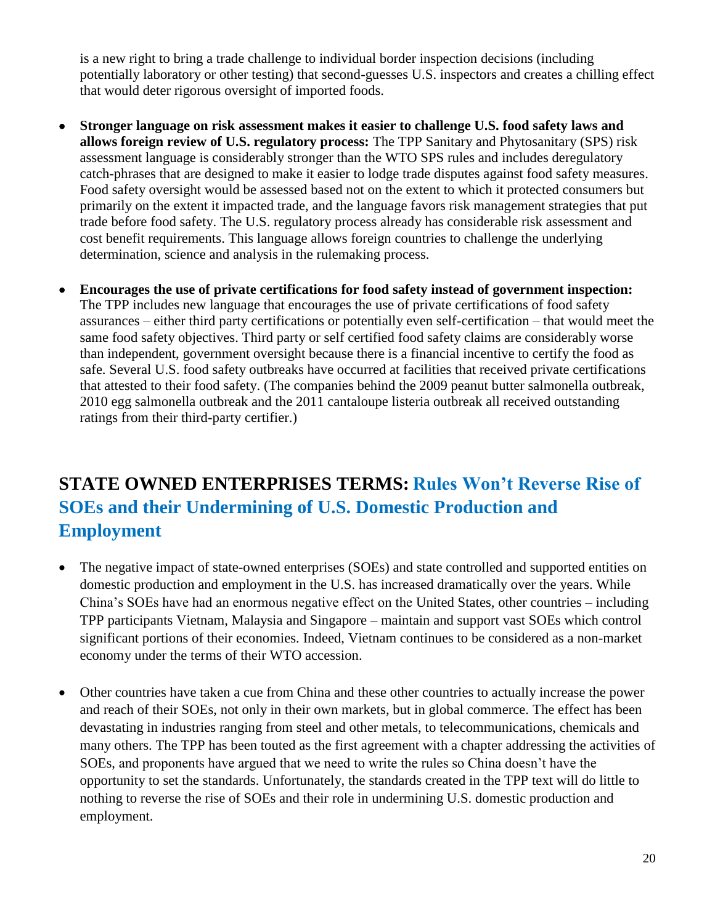is a new right to bring a trade challenge to individual border inspection decisions (including potentially laboratory or other testing) that second-guesses U.S. inspectors and creates a chilling effect that would deter rigorous oversight of imported foods.

- **Stronger language on risk assessment makes it easier to challenge U.S. food safety laws and allows foreign review of U.S. regulatory process:** The TPP Sanitary and Phytosanitary (SPS) risk assessment language is considerably stronger than the WTO SPS rules and includes deregulatory catch-phrases that are designed to make it easier to lodge trade disputes against food safety measures. Food safety oversight would be assessed based not on the extent to which it protected consumers but primarily on the extent it impacted trade, and the language favors risk management strategies that put trade before food safety. The U.S. regulatory process already has considerable risk assessment and cost benefit requirements. This language allows foreign countries to challenge the underlying determination, science and analysis in the rulemaking process.
- **Encourages the use of private certifications for food safety instead of government inspection:**  The TPP includes new language that encourages the use of private certifications of food safety assurances – either third party certifications or potentially even self-certification – that would meet the same food safety objectives. Third party or self certified food safety claims are considerably worse than independent, government oversight because there is a financial incentive to certify the food as safe. Several U.S. food safety outbreaks have occurred at facilities that received private certifications that attested to their food safety. (The companies behind the 2009 peanut butter salmonella outbreak, 2010 egg salmonella outbreak and the 2011 cantaloupe listeria outbreak all received outstanding ratings from their third-party certifier.)

## **STATE OWNED ENTERPRISES TERMS: Rules Won't Reverse Rise of SOEs and their Undermining of U.S. Domestic Production and Employment**

- The negative impact of state-owned enterprises (SOEs) and state controlled and supported entities on domestic production and employment in the U.S. has increased dramatically over the years. While China's SOEs have had an enormous negative effect on the United States, other countries – including TPP participants Vietnam, Malaysia and Singapore – maintain and support vast SOEs which control significant portions of their economies. Indeed, Vietnam continues to be considered as a non-market economy under the terms of their WTO accession.
- Other countries have taken a cue from China and these other countries to actually increase the power and reach of their SOEs, not only in their own markets, but in global commerce. The effect has been devastating in industries ranging from steel and other metals, to telecommunications, chemicals and many others. The TPP has been touted as the first agreement with a chapter addressing the activities of SOEs, and proponents have argued that we need to write the rules so China doesn't have the opportunity to set the standards. Unfortunately, the standards created in the TPP text will do little to nothing to reverse the rise of SOEs and their role in undermining U.S. domestic production and employment.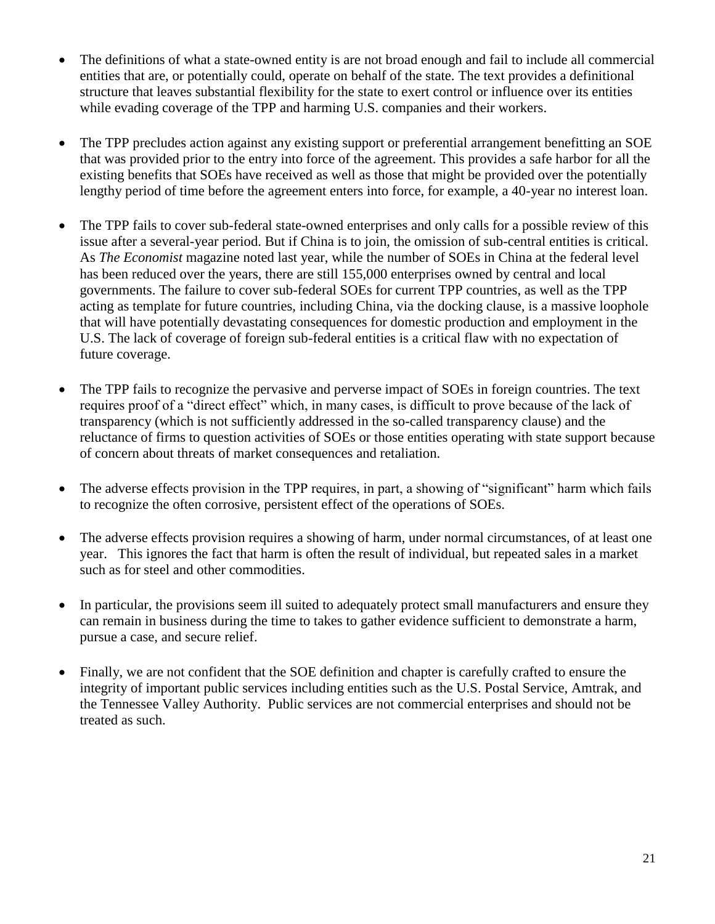- The definitions of what a state-owned entity is are not broad enough and fail to include all commercial entities that are, or potentially could, operate on behalf of the state. The text provides a definitional structure that leaves substantial flexibility for the state to exert control or influence over its entities while evading coverage of the TPP and harming U.S. companies and their workers.
- The TPP precludes action against any existing support or preferential arrangement benefitting an SOE that was provided prior to the entry into force of the agreement. This provides a safe harbor for all the existing benefits that SOEs have received as well as those that might be provided over the potentially lengthy period of time before the agreement enters into force, for example, a 40-year no interest loan.
- The TPP fails to cover sub-federal state-owned enterprises and only calls for a possible review of this issue after a several-year period. But if China is to join, the omission of sub-central entities is critical. As *The Economist* magazine noted last year, while the number of SOEs in China at the federal level has been reduced over the years, there are still 155,000 enterprises owned by central and local governments. The failure to cover sub-federal SOEs for current TPP countries, as well as the TPP acting as template for future countries, including China, via the docking clause, is a massive loophole that will have potentially devastating consequences for domestic production and employment in the U.S. The lack of coverage of foreign sub-federal entities is a critical flaw with no expectation of future coverage.
- The TPP fails to recognize the pervasive and perverse impact of SOEs in foreign countries. The text requires proof of a "direct effect" which, in many cases, is difficult to prove because of the lack of transparency (which is not sufficiently addressed in the so-called transparency clause) and the reluctance of firms to question activities of SOEs or those entities operating with state support because of concern about threats of market consequences and retaliation.
- The adverse effects provision in the TPP requires, in part, a showing of "significant" harm which fails to recognize the often corrosive, persistent effect of the operations of SOEs.
- The adverse effects provision requires a showing of harm, under normal circumstances, of at least one year. This ignores the fact that harm is often the result of individual, but repeated sales in a market such as for steel and other commodities.
- In particular, the provisions seem ill suited to adequately protect small manufacturers and ensure they can remain in business during the time to takes to gather evidence sufficient to demonstrate a harm, pursue a case, and secure relief.
- Finally, we are not confident that the SOE definition and chapter is carefully crafted to ensure the integrity of important public services including entities such as the U.S. Postal Service, Amtrak, and the Tennessee Valley Authority. Public services are not commercial enterprises and should not be treated as such.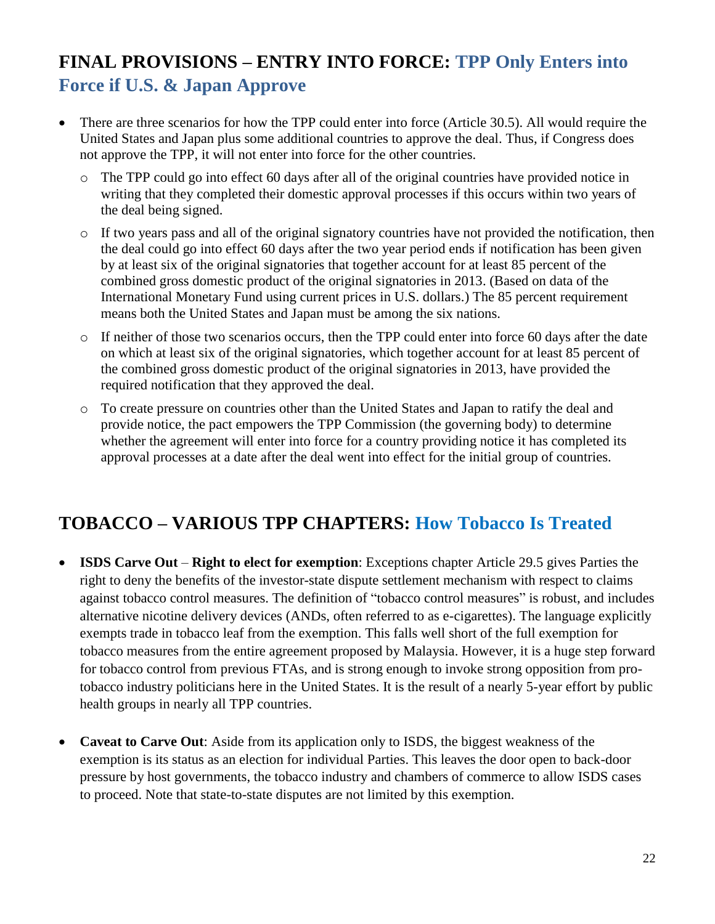# **FINAL PROVISIONS – ENTRY INTO FORCE: TPP Only Enters into Force if U.S. & Japan Approve**

- There are three scenarios for how the TPP could enter into force (Article 30.5). All would require the United States and Japan plus some additional countries to approve the deal. Thus, if Congress does not approve the TPP, it will not enter into force for the other countries.
	- o The TPP could go into effect 60 days after all of the original countries have provided notice in writing that they completed their domestic approval processes if this occurs within two years of the deal being signed.
	- $\circ$  If two years pass and all of the original signatory countries have not provided the notification, then the deal could go into effect 60 days after the two year period ends if notification has been given by at least six of the original signatories that together account for at least 85 percent of the combined gross domestic product of the original signatories in 2013. (Based on data of the International Monetary Fund using current prices in U.S. dollars.) The 85 percent requirement means both the United States and Japan must be among the six nations.
	- o If neither of those two scenarios occurs, then the TPP could enter into force 60 days after the date on which at least six of the original signatories, which together account for at least 85 percent of the combined gross domestic product of the original signatories in 2013, have provided the required notification that they approved the deal.
	- o To create pressure on countries other than the United States and Japan to ratify the deal and provide notice, the pact empowers the TPP Commission (the governing body) to determine whether the agreement will enter into force for a country providing notice it has completed its approval processes at a date after the deal went into effect for the initial group of countries.

## **TOBACCO – VARIOUS TPP CHAPTERS: How Tobacco Is Treated**

- **ISDS Carve Out Right to elect for exemption**: Exceptions chapter Article 29.5 gives Parties the right to deny the benefits of the investor-state dispute settlement mechanism with respect to claims against tobacco control measures. The definition of "tobacco control measures" is robust, and includes alternative nicotine delivery devices (ANDs, often referred to as e-cigarettes). The language explicitly exempts trade in tobacco leaf from the exemption. This falls well short of the full exemption for tobacco measures from the entire agreement proposed by Malaysia. However, it is a huge step forward for tobacco control from previous FTAs, and is strong enough to invoke strong opposition from protobacco industry politicians here in the United States. It is the result of a nearly 5-year effort by public health groups in nearly all TPP countries.
- **Caveat to Carve Out**: Aside from its application only to ISDS, the biggest weakness of the exemption is its status as an election for individual Parties. This leaves the door open to back-door pressure by host governments, the tobacco industry and chambers of commerce to allow ISDS cases to proceed. Note that state-to-state disputes are not limited by this exemption.